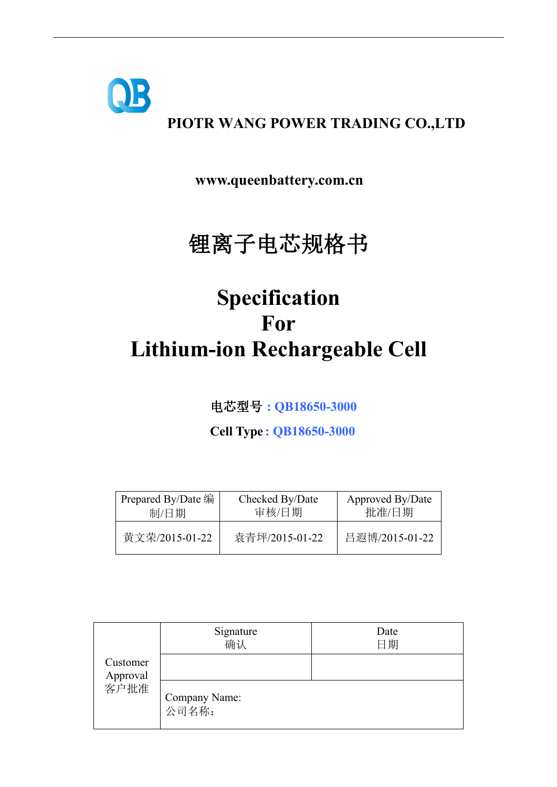

# **PIOTR WANG POWER TRADING CO.,LTD**

**www.queenbattery.com.cn**

# 锂离子电芯规格书

# **Specification For Lithium-ion Rechargeable Cell**

电芯型号 **: QB18650-3000**

**Cell Type : QB18650-3000**

| Prepared By/Date 编 | Checked By/Date | Approved By/Date |
|--------------------|-----------------|------------------|
| 制/日期               | 审核/日期           | 批准/日期            |
| 黄文荣/2015-01-22     | 袁青坪/2015-01-22  |                  |

|                              | Signature<br>确认        | Date<br>日期 |  |
|------------------------------|------------------------|------------|--|
| Customer<br>Approval<br>客户批准 |                        |            |  |
|                              | Company Name:<br>公司名称: |            |  |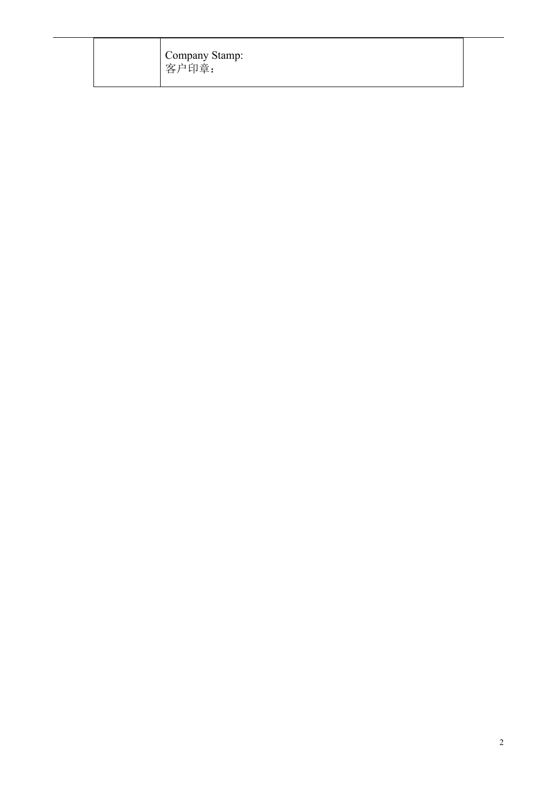Company Stamp: 客户印章: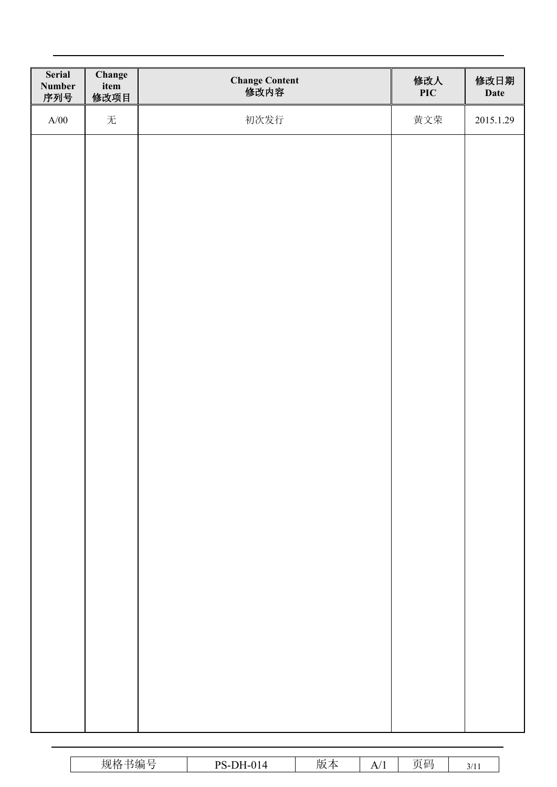| Serial<br>Number<br>序列号 | Change<br>item<br>修改项目 | Change Content<br>修改内容 | 修改人<br><b>PIC</b> | 修改日期<br>Date |
|-------------------------|------------------------|------------------------|-------------------|--------------|
| A/00                    | 无                      | 初次发行                   | 黄文荣               | 2015.1.29    |
|                         |                        |                        |                   |              |
|                         |                        |                        |                   |              |
|                         |                        |                        |                   |              |
|                         |                        |                        |                   |              |
|                         |                        |                        |                   |              |
|                         |                        |                        |                   |              |
|                         |                        |                        |                   |              |
|                         |                        |                        |                   |              |
|                         |                        |                        |                   |              |
|                         |                        |                        |                   |              |
|                         |                        |                        |                   |              |
|                         |                        |                        |                   |              |
|                         |                        |                        |                   |              |
|                         |                        |                        |                   |              |
|                         |                        |                        |                   |              |
|                         |                        |                        |                   |              |
|                         |                        |                        |                   |              |
|                         |                        |                        |                   |              |
|                         |                        |                        |                   |              |
|                         |                        |                        |                   |              |

| <b>Service Control</b><br>规格<br>・死ー<br>--<br>$-11$<br>・マンパリ | DH-014<br>$DS_{-1}$<br>. . | س اا<br>. .<br>- 71<br>历义.<br>ZD | A/<br>. . | $  -$<br>$-1$<br>Π /π L<br>$\sim$<br>$\sim$ | $\sim$ $\mu$<br>`<br>- - - - |
|-------------------------------------------------------------|----------------------------|----------------------------------|-----------|---------------------------------------------|------------------------------|
|                                                             |                            |                                  |           |                                             |                              |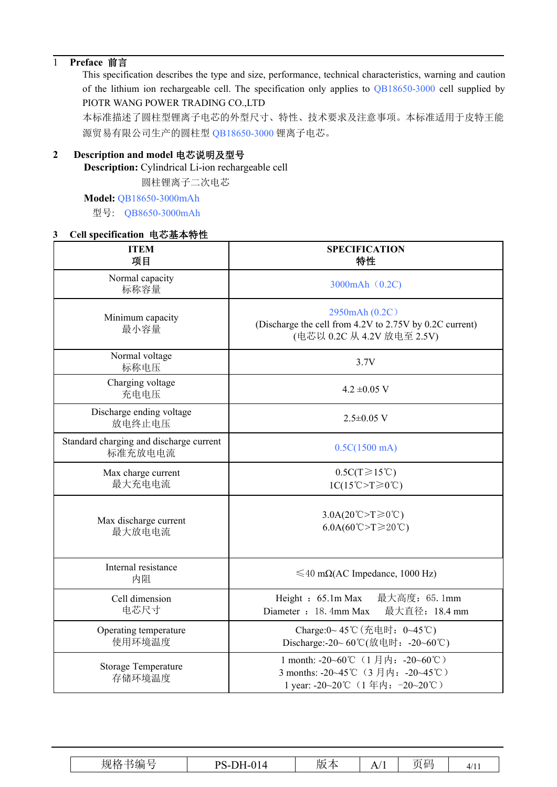## 1 **Preface** 前言

This specification describes the type and size, performance, technical characteristics, warning and caution of the lithium ion rechargeable cell. The specification only applies to QB18650-3000 cell supplied by PIOTR WANG POWER TRADING CO.,LTD

本标准描述了圆柱型锂离子电芯的外型尺寸、特性、技术要求及注意事项。本标准适用于皮特王能 源贸易有限公司生产的圆柱型 QB18650-3000 锂离子电芯。

#### **2 Description and model** 电芯说明及型号

**Description:** Cylindrical Li-ion rechargeable cell

圆柱锂离子二次电芯

#### **Model:** QB18650-3000mAh

型号: QB8650-3000mAh

### **3 Cell specification** 电芯基本特性

| $\sim$ . Specification $\sim$ 6 $\sim$ 4 $\sim$ 19 |                                                                                                         |  |
|----------------------------------------------------|---------------------------------------------------------------------------------------------------------|--|
| <b>ITEM</b><br>项目                                  | <b>SPECIFICATION</b><br>特性                                                                              |  |
| Normal capacity<br>标称容量                            | 3000mAh (0.2C)                                                                                          |  |
| Minimum capacity<br>最小容量                           | 2950mAh (0.2C)<br>(Discharge the cell from 4.2V to 2.75V by 0.2C current)<br>(电芯以 0.2C 从 4.2V 放电至 2.5V) |  |
| Normal voltage<br>标称电压                             | 3.7V                                                                                                    |  |
| Charging voltage<br>充电电压                           | $4.2 \pm 0.05$ V                                                                                        |  |
| Discharge ending voltage<br>放电终止电压                 | $2.5 \pm 0.05$ V                                                                                        |  |
| Standard charging and discharge current<br>标准充放电电流 | 0.5C(1500 mA)                                                                                           |  |
| Max charge current<br>最大充电电流                       | $0.5C(T\geq 15^{\circ}C)$<br>$1C(15^{\circ}C > T \geq 0^{\circ}C)$                                      |  |
| Max discharge current<br>最大放电电流                    | $3.0A(20^{\circ}\text{C} > T \ge 0^{\circ}\text{C})$<br>$6.0A(60^{\circ}C > T \ge 20^{\circ}C)$         |  |
| Internal resistance<br>内阻                          | $\leq 40$ m $\Omega$ (AC Impedance, 1000 Hz)                                                            |  |
| Cell dimension<br>电芯尺寸                             | 最大高度: 65.1mm<br>Height: 65.1m Max<br>Diameter : 18. 4mm Max<br>最大直径: 18.4 mm                            |  |
| Operating temperature<br>使用环境温度                    | Charge:0~45℃ (充电时: 0~45℃)<br>Discharge:-20~60℃(放电时: -20~60℃)                                            |  |
| Storage Temperature<br>存储环境温度                      | 1 month: -20~60℃ (1月内: -20~60℃)<br>3 months: -20~45℃ (3月内: -20~45℃)<br>1 year: -20~20℃ (1年内: -20~20℃)   |  |

| ⊦n ∔⁄z<br>$-$<br>۱L٢<br>強<br>and the con-<br>DC<br>$^{\sim}$<br>$\mathbf{r}$<br>. 但<br>- 113<br>放平<br>4/11<br>,⊢<br>A/<br>人儿几个<br>---<br>-- |
|---------------------------------------------------------------------------------------------------------------------------------------------|
|---------------------------------------------------------------------------------------------------------------------------------------------|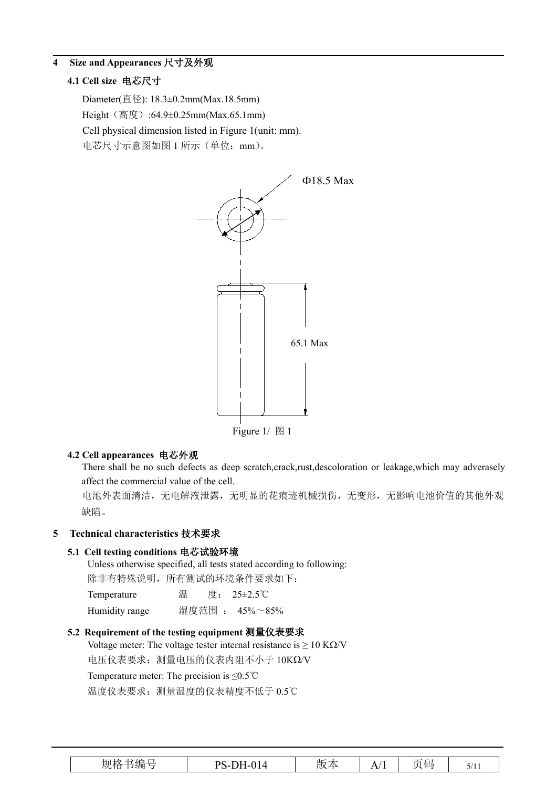#### **4 Size and Appearances** 尺寸及外观

#### **4.1 Cell size** 电芯尺寸

Diameter(直径): 18.3±0.2mm(Max.18.5mm) Height (高度):64.9±0.25mm(Max.65.1mm) Cell physical dimension listed in Figure 1(unit: mm). 电芯尺寸示意图如图 1 所示(单位: mm)。



#### **4.2 Cell appearances** 电芯外观

There shall be no such defects as deep scratch,crack,rust,descoloration or leakage,which may adverasely affect the commercial value of the cell.

电池外表面清洁,无电解液泄露,无明显的花痕迹机械损伤,无变形,无影响电池价值的其他外观 缺陷。

#### **5 Technical characteristics** 技术要求

#### **5.1 Cell testing conditions** 电芯试验环境

Unless otherwise specified, all tests stated according to following: 除非有特殊说明,所有测试的环境条件要求如下:

| Temperature    | 温 | 度: 25±2.5℃     |
|----------------|---|----------------|
| Humidity range |   | 湿度范围 : 45%~85% |

#### **5.2 Requirement of the testing equipment** 测量仪表要求

Voltage meter: The voltage tester internal resistance is  $\geq 10$  K $\Omega$ /V

电压仪表要求: 测量电压的仪表内阻不小于 10KΩ/V

Temperature meter: The precision is ≤0.5℃

温度仪表要求:测量温度的仪表精度不低于 0.5℃

| $  -$<br>-<br>ገH-014<br>DC<br>AЦ<br>贝。<br>$-11$<br>$\Lambda$<br>放平<br>- ∟ו∪-י<br>-11-<br>$\mathbf{v}$<br>. .<br>$\mathcal{L}$ is the set of $\mathcal{L}$ |
|-----------------------------------------------------------------------------------------------------------------------------------------------------------|
|-----------------------------------------------------------------------------------------------------------------------------------------------------------|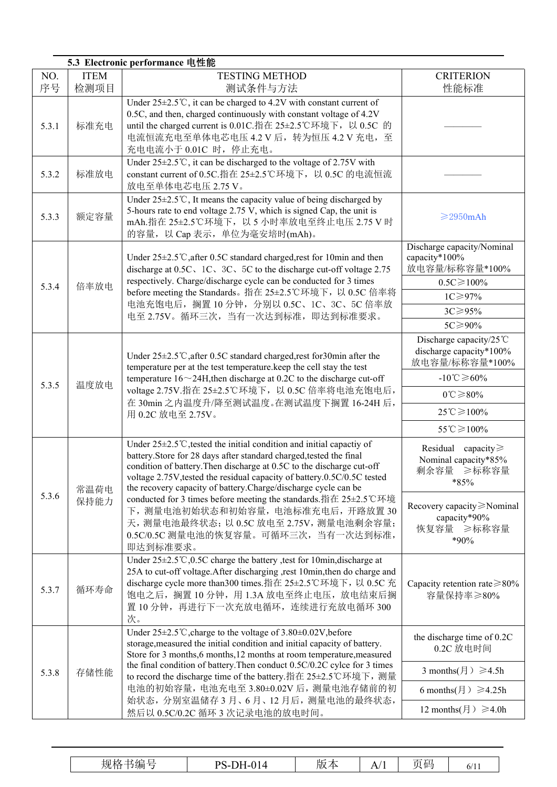|           |                     | 5.3 Electronic performance 电性能                                                                                                                                                                                                                                                                                                                                                                                                                                                                                                                                                           |                                                                                                                                                                                                      |
|-----------|---------------------|------------------------------------------------------------------------------------------------------------------------------------------------------------------------------------------------------------------------------------------------------------------------------------------------------------------------------------------------------------------------------------------------------------------------------------------------------------------------------------------------------------------------------------------------------------------------------------------|------------------------------------------------------------------------------------------------------------------------------------------------------------------------------------------------------|
| NO.<br>序号 | <b>ITEM</b><br>检测项目 | <b>TESTING METHOD</b><br>测试条件与方法                                                                                                                                                                                                                                                                                                                                                                                                                                                                                                                                                         | <b>CRITERION</b><br>性能标准                                                                                                                                                                             |
| 5.3.1     | 标准充电                | Under $25 \pm 2.5^{\circ}$ C, it can be charged to 4.2V with constant current of<br>0.5C, and then, charged continuously with constant voltage of 4.2V<br>until the charged current is 0.01C.指在 25±2.5℃环境下, 以 0.5C 的<br>电流恒流充电至单体电芯电压 4.2 V 后, 转为恒压 4.2 V 充电, 至<br>充电电流小于 0.01C 时, 停止充电。                                                                                                                                                                                                                                                                                                 |                                                                                                                                                                                                      |
| 5.3.2     | 标准放电                | Under $25 \pm 2.5$ °C, it can be discharged to the voltage of 2.75V with<br>constant current of 0.5C.指在 25±2.5℃环境下, 以 0.5C 的电流恒流<br>放电至单体电芯电压 2.75 V。                                                                                                                                                                                                                                                                                                                                                                                                                                    |                                                                                                                                                                                                      |
| 5.3.3     | 额定容量                | Under $25 \pm 2.5^{\circ}$ C, It means the capacity value of being discharged by<br>5-hours rate to end voltage 2.75 V, which is signed Cap, the unit is<br>mAh.指在 25±2.5℃环境下, 以 5 小时率放电至终止电压 2.75 V 时<br>的容量, 以 Cap 表示, 单位为毫安培时(mAh)。                                                                                                                                                                                                                                                                                                                                                   | $\geq$ 2950mAh                                                                                                                                                                                       |
| 5.3.4     | 倍率放电                | Under $25\pm2.5^{\circ}$ C, after 0.5C standard charged, rest for 10min and then<br>discharge at 0.5C, 1C, 3C, 5C to the discharge cut-off voltage 2.75<br>respectively. Charge/discharge cycle can be conducted for 3 times<br>before meeting the Standards。指在 25±2.5℃环境下, 以 0.5C 倍率将<br>电池充饱电后, 搁置 10 分钟, 分别以 0.5C、1C、3C、5C 倍率放<br>电至 2.75V。循环三次, 当有一次达到标准, 即达到标准要求。                                                                                                                                                                                                                   | Discharge capacity/Nominal<br>capacity*100%<br>放电容量/标称容量*100%<br>$0.5C \ge 100\%$<br>$1C \geq 97\%$<br>$3C \geq 95\%$<br>5C≥90%                                                                      |
| 5.3.5     | 温度放电                | Under $25\pm2.5^{\circ}$ after 0.5C standard charged, rest for 30min after the<br>temperature per at the test temperature.keep the cell stay the test<br>temperature $16 \sim 24$ H, then discharge at 0.2C to the discharge cut-off<br>voltage 2.75V.指在 25±2.5℃环境下, 以 0.5C 倍率将电池充饱电后,<br>在 30min 之内温度升/降至测试温度。在测试温度下搁置 16-24H 后,<br>用 0.2C 放电至 2.75V。                                                                                                                                                                                                                                   | Discharge capacity/25 $\degree$ C<br>discharge capacity*100%<br>放电容量/标称容量*100%<br>$-10^{\circ}$ C $\geqslant$ 60%<br>$0^{\circ}C \ge 80\%$<br>$25^{\circ}C \ge 100\%$<br>$55^{\circ}$ C $\geq 100\%$ |
| 5.3.6     | 常温荷电<br>保持能力        | Under $25 \pm 2.5^{\circ}$ C, tested the initial condition and initial capactiy of<br>battery. Store for 28 days after standard charged, tested the final<br>condition of battery. Then discharge at 0.5C to the discharge cut-off<br>voltage 2.75V, tested the residual capacity of battery.0.5C/0.5C tested<br>the recovery capacity of battery. Charge/discharge cycle can be<br>conducted for 3 times before meeting the standards.指在 25±2.5℃环境<br>下, 测量电池初始状态和初始容量, 电池标准充电后, 开路放置30<br>天, 测量电池最终状态; 以 0.5C 放电至 2.75V, 测量电池剩余容量;<br>0.5C/0.5C 测量电池的恢复容量。可循环三次, 当有一次达到标准,<br>即达到标准要求。 | Residual capacity $\geq$<br>Nominal capacity*85%<br>剩余容量 ≥标称容量<br>$*85%$<br>Recovery capacity≥Nominal<br>capacity*90%<br>恢复容量 ≥标称容量<br>*90%                                                          |
| 5.3.7     | 循环寿命                | Under $25\pm2.5^{\circ}$ C, 0.5C charge the battery, test for 10min, discharge at<br>25A to cut-off voltage. After discharging , rest 10min, then do charge and<br>discharge cycle more than300 times.指在 25±2.5℃环境下, 以 0.5C 充<br>饱电之后, 搁置 10 分钟, 用 1.3A 放电至终止电压, 放电结束后搁<br>置 10 分钟, 再进行下一次充放电循环, 连续进行充放电循环 300<br>次。                                                                                                                                                                                                                                                                     | Capacity retention rate $\geq 80\%$<br>容量保持率≥80%                                                                                                                                                     |
| 5.3.8     | 存储性能                | Under 25±2.5℃, charge to the voltage of 3.80±0.02V, before<br>storage, measured the initial condition and initial capacity of battery.<br>Store for 3 months, 6 months, 12 months at room temperature, measured<br>the final condition of battery. Then conduct 0.5C/0.2C cylce for 3 times<br>to record the discharge time of the battery.指在 25±2.5℃环境下, 测量<br>电池的初始容量, 电池充电至 3.80±0.02V 后, 测量电池存储前的初<br>始状态,分别室温储存3月、6月、12月后,测量电池的最终状态,<br>然后以 0.5C/0.2C 循环 3 次记录电池的放电时间。                                                                                                              | the discharge time of 0.2C<br>0.2C 放电时间<br>3 months( $\text{F}$ ) $\geq 4.5$ h<br>6 months( $\text{F}$ ) $\geq 4.25$ h<br>12 months( $\text{F}$ ) $\geq 4.0$ h                                       |

| $\mathbf{1}$<br>〃へ<br>. .<br>ັ້ນ | 4E                    | DС<br>ъ. | 1. I<br>HIV.<br>$\overline{\phantom{a}}$ | ——<br>--<br>hΓ<br>$\mathbf{r}$ | $\overline{\phantom{a}}$ |
|----------------------------------|-----------------------|----------|------------------------------------------|--------------------------------|--------------------------|
|                                  | <b>AZLITE</b><br>→ プ門 |          |                                          |                                | $\omega$                 |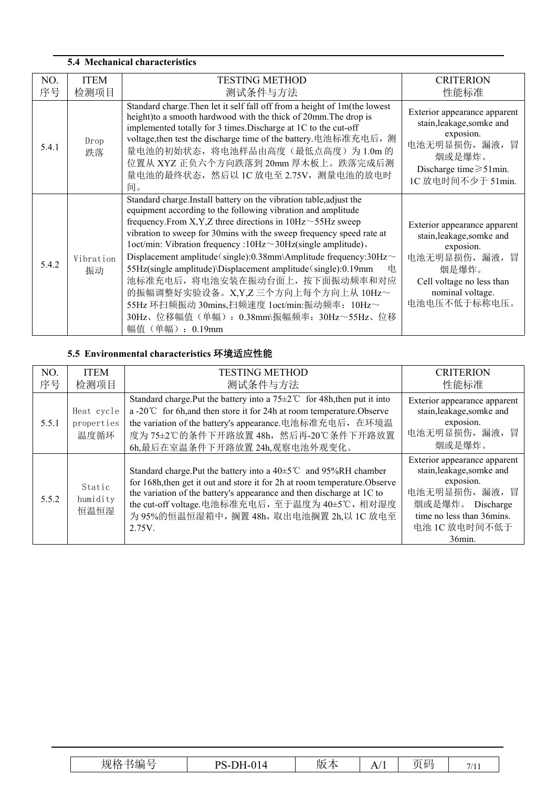| <b>5.4 Mechanical characteristics</b> |                     |                                                                                                                                                                                                                                                                                                                                                                                                                                                                                                                                                                                                                                                                                                 |                                                                                                                                                                  |  |  |
|---------------------------------------|---------------------|-------------------------------------------------------------------------------------------------------------------------------------------------------------------------------------------------------------------------------------------------------------------------------------------------------------------------------------------------------------------------------------------------------------------------------------------------------------------------------------------------------------------------------------------------------------------------------------------------------------------------------------------------------------------------------------------------|------------------------------------------------------------------------------------------------------------------------------------------------------------------|--|--|
| NO.<br>序号                             | <b>ITEM</b><br>检测项目 | <b>TESTING METHOD</b><br>测试条件与方法                                                                                                                                                                                                                                                                                                                                                                                                                                                                                                                                                                                                                                                                | <b>CRITERION</b><br>性能标准                                                                                                                                         |  |  |
| 5.4.1                                 | Drop<br>跌落          | Standard charge. Then let it self fall off from a height of 1m(the lowest<br>height) to a smooth hardwood with the thick of 20mm. The drop is<br>implemented totally for 3 times. Discharge at 1C to the cut-off<br>voltage, then test the discharge time of the battery. 电池标准充电后, 测<br>量电池的初始状态, 将电池样品由高度(最低点高度)为1.0m的<br>位置从 XYZ 正负六个方向跌落到 20mm 厚木板上。跌落完成后测<br>量电池的最终状态, 然后以 1C 放电至 2.75V, 测量电池的放电时<br>间。                                                                                                                                                                                                                                                                                     | Exterior appearance apparent<br>stain, leakage, somke and<br>exposion.<br>电池无明显损伤,漏液,冒<br>烟或是爆炸。<br>Discharge time $\geq 51$ min.<br>1C 放电时间不少于 51min.           |  |  |
| 5.4.2                                 | Vibration<br>振动     | Standard charge. Install battery on the vibration table, adjust the<br>equipment according to the following vibration and amplitude<br>frequency. From X, Y, Z three directions in $10\text{Hz} \sim 55\text{Hz}$ sweep<br>vibration to sweep for 30mins with the sweep frequency speed rate at<br>loct/min: Vibration frequency :10Hz~30Hz(single amplitude).<br>Displacement amplitude (single):0.38mm\Amplitude frequency:30Hz~<br>55Hz(single amplitude)\Displacement amplitude(single):0.19mm<br>电<br>池标准充电后, 将电池安装在振动台面上, 按下面振动频率和对应<br>的振幅调整好实验设备。X,Y,Z 三个方向上每个方向上从 10Hz~<br>55Hz 环扫频振动 30mins,扫频速度 1oct/min:振动频率: 10Hz~<br>30Hz、位移幅值(单幅): 0.38mm\振幅频率: 30Hz~55Hz、位移<br>幅值 (单幅) : 0.19mm | Exterior appearance apparent<br>stain, leakage, somke and<br>exposion.<br>电池无明显损伤,漏液,冒<br>烟是爆炸。<br>Cell voltage no less than<br>nominal voltage.<br>电池电压不低于标称电压。 |  |  |

# **5.5 Environmental characteristics** 环境适应性能

| NO.   | <b>ITEM</b>                      | <b>TESTING METHOD</b>                                                                                                                                                                                                                                                                                                                     | <b>CRITERION</b>                                                                                                                                                      |
|-------|----------------------------------|-------------------------------------------------------------------------------------------------------------------------------------------------------------------------------------------------------------------------------------------------------------------------------------------------------------------------------------------|-----------------------------------------------------------------------------------------------------------------------------------------------------------------------|
| 序号    | 检测项目                             | 测试条件与方法                                                                                                                                                                                                                                                                                                                                   | 性能标准                                                                                                                                                                  |
| 5.5.1 | Heat cycle<br>properties<br>温度循环 | Standard charge. Put the battery into a $75 \pm 2^{\circ}$ for 48h, then put it into<br>a -20 $\degree$ C for 6h, and then store it for 24h at room temperature. Observe<br>the variation of the battery's appearance.电池标准充电后, 在环境温<br>度为75±2℃的条件下开路放置48h, 然后再-20℃条件下开路放置<br>6h,最后在室温条件下开路放置 24h,观察电池外观变化。                                | Exterior appearance apparent<br>stain, leakage, somke and<br>exposion.<br>电池无明显损伤,漏液,冒<br>烟或是爆炸。                                                                      |
| 5.5.2 | Static<br>humidity<br>恒温恒湿       | Standard charge. Put the battery into a $40\pm5^{\circ}$ and 95%RH chamber<br>for 168h, then get it out and store it for 2h at room temperature. Observe<br>the variation of the battery's appearance and then discharge at 1C to<br>the cut-off voltage.电池标准充电后, 至于温度为 40±5℃, 相对湿度<br>为 95%的恒温恒湿箱中, 搁置 48h, 取出电池搁置 2h,以 1C 放电至<br>2.75V. | Exterior appearance apparent<br>stain, leakage, somke and<br>exposion.<br>电池无明显损伤,漏液,冒<br>烟或是爆炸。 Discharge<br>time no less than 36mins.<br>电池 1C 放电时间不低于<br>$36$ min. |

| $\sim$<br>$  -$<br>土生<br>DH-014<br>$PS_{-1}$ .<br>$-1$<br>亓 石二<br>--<br>$\mathbf{A}$<br>历义.<br>A/<br>$\sqrt{3}$<br>-<br>→ ラナサリ<br>.<br>ັ | $  -$<br>$\cdot$ $\cdot$ $\cdot$ $\cdot$ |
|------------------------------------------------------------------------------------------------------------------------------------------|------------------------------------------|
|------------------------------------------------------------------------------------------------------------------------------------------|------------------------------------------|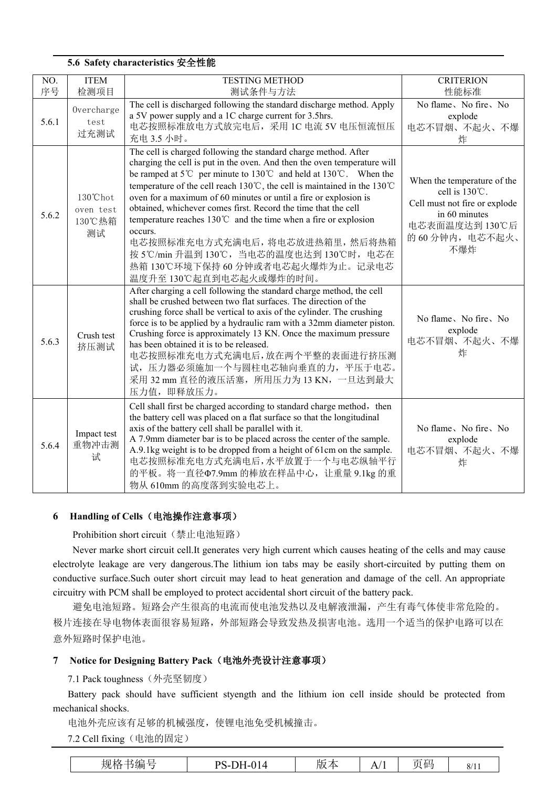|           |                                       | 5.6 Safety characteristics 安全性能                                                                                                                                                                                                                                                                                                                                                                                                                                                                                                                                                                                                                                  |                                                                                                                                                     |
|-----------|---------------------------------------|------------------------------------------------------------------------------------------------------------------------------------------------------------------------------------------------------------------------------------------------------------------------------------------------------------------------------------------------------------------------------------------------------------------------------------------------------------------------------------------------------------------------------------------------------------------------------------------------------------------------------------------------------------------|-----------------------------------------------------------------------------------------------------------------------------------------------------|
| NO.<br>序号 | <b>ITEM</b><br>检测项目                   | <b>TESTING METHOD</b><br>测试条件与方法                                                                                                                                                                                                                                                                                                                                                                                                                                                                                                                                                                                                                                 | <b>CRITERION</b><br>性能标准                                                                                                                            |
| 5.6.1     | Overcharge<br>test<br>过充测试            | The cell is discharged following the standard discharge method. Apply<br>a 5V power supply and a 1C charge current for 3.5hrs.<br>电芯按照标准放电方式放完电后, 采用 1C 电流 5V 电压恒流恒压<br>充电 3.5 小时。                                                                                                                                                                                                                                                                                                                                                                                                                                                                               | No flame, No fire, No<br>explode<br>电芯不冒烟、不起火、不爆<br>炸                                                                                               |
| 5.6.2     | 130°Chot<br>oven test<br>130℃热箱<br>测试 | The cell is charged following the standard charge method. After<br>charging the cell is put in the oven. And then the oven temperature will<br>be ramped at 5°C per minute to 130°C and held at 130°C. When the<br>temperature of the cell reach 130℃, the cell is maintained in the 130℃<br>oven for a maximum of 60 minutes or until a fire or explosion is<br>obtained, whichever comes first. Record the time that the cell<br>temperature reaches $130^{\circ}$ and the time when a fire or explosion<br>occurs.<br>电芯按照标准充电方式充满电后,将电芯放进热箱里,然后将热箱<br>按 5℃/min 升温到 130℃, 当电芯的温度也达到 130℃时, 电芯在<br>热箱 130℃环境下保持 60 分钟或者电芯起火爆炸为止。记录电芯<br>温度升至130℃起直到电芯起火或爆炸的时间。 | When the temperature of the<br>cell is $130^{\circ}$ C.<br>Cell must not fire or explode<br>in 60 minutes<br>电芯表面温度达到 130℃后<br>的60分钟内,电芯不起火、<br>不爆炸 |
| 5.6.3     | Crush test<br>挤压测试                    | After charging a cell following the standard charge method, the cell<br>shall be crushed between two flat surfaces. The direction of the<br>crushing force shall be vertical to axis of the cylinder. The crushing<br>force is to be applied by a hydraulic ram with a 32mm diameter piston.<br>Crushing force is approximately 13 KN. Once the maximum pressure<br>has been obtained it is to be released.<br>电芯按照标准充电方式充满电后,放在两个平整的表面进行挤压测<br>试, 压力器必须施加一个与圆柱电芯轴向垂直的力, 平压于电芯。<br>采用 32 mm 直径的液压活塞, 所用压力为 13 KN, 一旦达到最大<br>压力值, 即释放压力。                                                                                                                          | No flame, No fire, No.<br>explode<br>电芯不冒烟、不起火、不爆<br>炸                                                                                              |
| 5.6.4     | Impact test<br>重物冲击测<br>试             | Cell shall first be charged according to standard charge method, then<br>the battery cell was placed on a flat surface so that the longitudinal<br>axis of the battery cell shall be parallel with it.<br>A 7.9mm diameter bar is to be placed across the center of the sample.<br>A.9.1kg weight is to be dropped from a height of 61cm on the sample.<br>电芯按照标准充电方式充满电后,水平放置于一个与电芯纵轴平行<br>的平板。将一直径Φ7.9mm 的棒放在样品中心, 让重量 9.1kg 的重<br>物从 610mm 的高度落到实验电芯上。                                                                                                                                                                                                        | No flame, No fire, No<br>explode<br>电芯不冒烟、不起火、不爆<br>炸                                                                                               |

#### **6 Handling of Cells**(电池操作注意事项)

Prohibition short circuit(禁止电池短路)

Never marke short circuit cell.It generates very high current which causes heating of the cells and may cause electrolyte leakage are very dangerous.The lithium ion tabs may be easily short-circuited by putting them on conductive surface.Such outer short circuit may lead to heat generation and damage of the cell. An appropriate circuitry with PCM shall be employed to protect accidental short circuit of the battery pack.

避免电池短路。短路会产生很高的电流而使电池发热以及电解液泄漏,产生有毒气体使非常危险的。 极片连接在导电物体表面很容易短路,外部短路会导致发热及损害电池。选用一个适当的保护电路可以在 意外短路时保护电池。

#### **7 Notice for Designing Battery Pack**(电池外壳设计注意事项)

7.1 Pack toughness(外壳坚韧度)

Battery pack should have sufficient styength and the lithium ion cell inside should be protected from mechanical shocks.

电池外壳应该有足够的机械强度,使锂电池免受机械撞击。

7.2 Cell fixing(电池的固定)

| 规格<br>书编<br>--<br>$\sim$ | <b>PS</b> -.<br>$\sim$ $\sim$<br>◝<br>4-014<br>. .<br>$\sim$ | 版<br><b>CONTRACTOR</b><br>⚠ | $\cdot$ .<br>$\mathbf{r}$ | $\cdot$ .<br>但<br>IJ | Q/1<br>0/11 |
|--------------------------|--------------------------------------------------------------|-----------------------------|---------------------------|----------------------|-------------|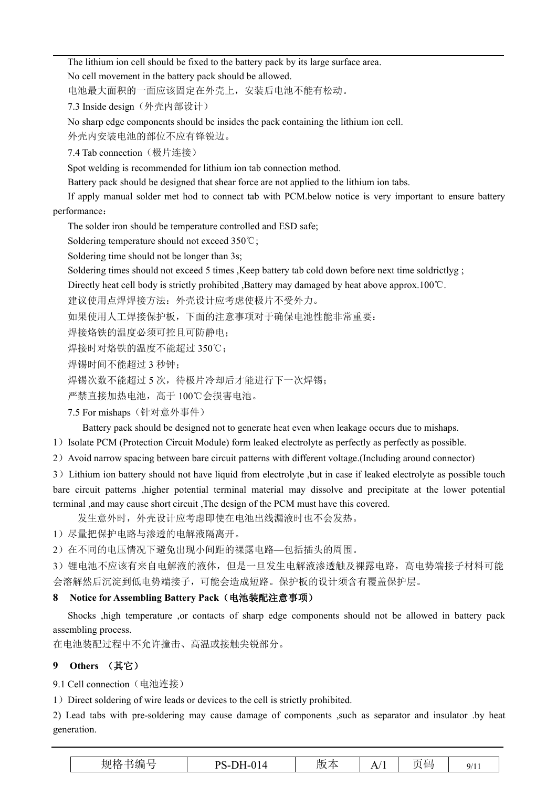The lithium ion cell should be fixed to the battery pack by its large surface area. No cell movement in the battery pack should be allowed.

电池最大面积的一面应该固定在外壳上,安装后电池不能有松动。

7.3 Inside design (外壳内部设计)

No sharp edge components should be insides the pack containing the lithium ion cell.

外壳内安装电池的部位不应有锋锐边。

7.4 Tab connection(极片连接)

Spot welding is recommended for lithium ion tab connection method.

Battery pack should be designed that shear force are not applied to the lithium ion tabs.

If apply manual solder met hod to connect tab with PCM.below notice is very important to ensure battery performance:

The solder iron should be temperature controlled and ESD safe;

Soldering temperature should not exceed 350℃;

Soldering time should not be longer than 3s;

Soldering times should not exceed 5 times ,Keep battery tab cold down before next time soldrictlyg ;

Directly heat cell body is strictly prohibited ,Battery may damaged by heat above approx.100℃.

建议使用点焊焊接方法:外壳设计应考虑使极片不受外力。

如果使用人工焊接保护板,下面的注意事项对于确保电池性能非常重要:

焊接烙铁的温度必须可控且可防静电;

焊接时对烙铁的温度不能超过 350℃;

焊锡时间不能超过 3 秒钟;

焊锡次数不能超过 5 次, 待极片冷却后才能进行下一次焊锡;

严禁直接加热电池,高于 100℃会损害电池。

7.5 For mishaps(针对意外事件)

Battery pack should be designed not to generate heat even when leakage occurs due to mishaps.

1)Isolate PCM (Protection Circuit Module) form leaked electrolyte as perfectly as perfectly as possible.

2)Avoid narrow spacing between bare circuit patterns with different voltage.(Including around connector)

3)Lithium ion battery should not have liquid from electrolyte ,but in case if leaked electrolyte as possible touch bare circuit patterns ,higher potential terminal material may dissolve and precipitate at the lower potential terminal ,and may cause short circuit ,The design of the PCM must have this covered.

发生意外时,外壳设计应考虑即使在电池出线漏液时也不会发热。

1)尽量把保护电路与渗透的电解液隔离开。

2)在不同的电压情况下避免出现小间距的裸露电路—包括插头的周围。

3)锂电池不应该有来自电解液的液体,但是一旦发生电解液渗透触及裸露电路,高电势端接子材料可能 会溶解然后沉淀到低电势端接子,可能会造成短路。保护板的设计须含有覆盖保护层。

#### **8 Notice for Assembling Battery Pack**(电池装配注意事项)

Shocks ,high temperature ,or contacts of sharp edge components should not be allowed in battery pack assembling process.

在电池装配过程中不允许撞击、高温或接触尖锐部分。

### **9 Others** (其它)

9.1 Cell connection (电池连接)

1) Direct soldering of wire leads or devices to the cell is strictly prohibited.

2) Lead tabswith pre-soldering may cause damage of components ,such as separator and insulator .by heat generation.

| Q/1<br><i>,</i> , , , | A/ | 版。<br>$\Delta$ | PS-DH-<br>$-014$ | $\sim$<br>$\sqrt{2}$<br>规格<br>书编 |
|-----------------------|----|----------------|------------------|----------------------------------|
|-----------------------|----|----------------|------------------|----------------------------------|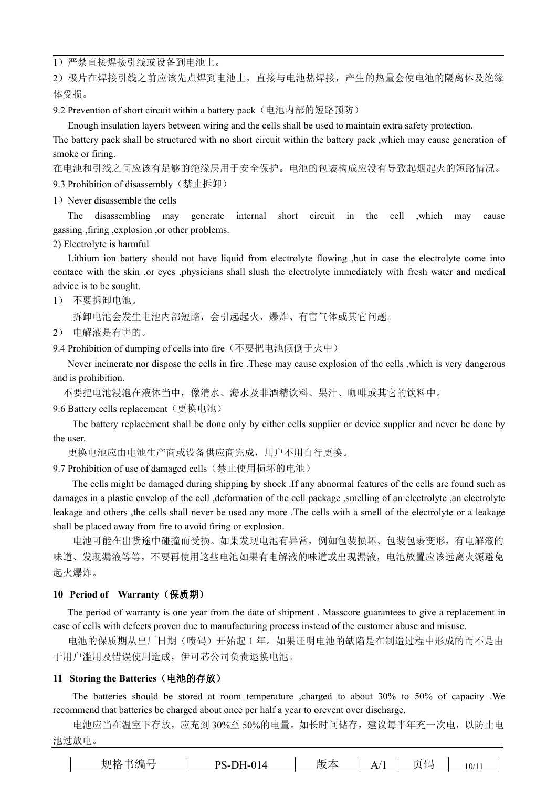1)严禁直接焊接引线或设备到电池上。

2)极片在焊接引线之前应该先点焊到电池上,直接与电池热焊接,产生的热量会使电池的隔离体及绝缘 体受损。

9.2 Prevention of short circuit within a battery pack (电池内部的短路预防)

Enough insulation layers between wiring and the cells shall be used to maintain extra safety protection.

The battery pack shall be structured with no short circuit within the battery pack ,which may cause generation of smoke or firing.

在电池和引线之间应该有足够的绝缘层用于安全保护。电池的包装构成应没有导致起烟起火的短路情况。

9.3 Prohibition of disassembly (禁止拆卸)

1) Never disassemble the cells

The disassembling may generate internal short circuit in the cell ,which may cause gassing ,firing ,explosion ,or other problems.

2) Electrolyte is harmful

Lithium ion battery should not have liquid from electrolyte flowing ,but in case the electrolyte come into contace with the skin ,or eyes ,physicians shall slush the electrolyte immediately with fresh water and medical advice is to be sought.

1) 不要拆卸电池。

拆卸电池会发生电池内部短路,会引起起火、爆炸、有害气体或其它问题。

2) 电解液是有害的。

9.4 Prohibition of dumping of cells into fire(不要把电池倾倒于火中)

Never incinerate nor dispose the cells in fire .These may cause explosion of the cells ,which is very dangerous and is prohibition.

不要把电池浸泡在液体当中,像清水、海水及非酒精饮料、果汁、咖啡或其它的饮料中。

9.6 Battery cells replacement (更换电池)

The battery replacement shall be done only by either cells supplier or device supplier and never be done by the user.

更换电池应由电池生产商或设备供应商完成,用户不用自行更换。

9.7 Prohibition of use of damaged cells(禁止使用损坏的电池)

The cells might be damaged during shipping by shock .If any abnormal features of the cells are found such as damages in a plastic envelop of the cell, deformation of the cell package , smelling of an electrolyte , an electrolyte leakage and others ,the cells shall never be used any more .The cells with a smell of the electrolyte or a leakage shall be placed away from fire to avoid firing or explosion.

电池可能在出货途中碰撞而受损。如果发现电池有异常,例如包装损坏、包装包裹变形,有电解液的 味道、发现漏液等等,不要再使用这些电池如果有电解液的味道或出现漏液,电池放置应该远离火源避免 起火爆炸。

#### **10 Period of Warranty**(保质期)

The period of warranty is one year from the date of shipment . Masscore guarantees to give a replacement in case of cells with defects proven due to manufacturing process instead of the customer abuse and misuse.

电池的保质期从出厂日期(喷码)开始起 1 年。如果证明电池的缺陷是在制造过程中形成的而不是由 于用户滥用及错误使用造成,伊可芯公司负责退换电池。

#### **11 Storing the Batteries**(电池的存放)

The batteries should be stored at room temperature ,charged to about 30% to 50% of capacity .We recommend that batteries be charged about once per half a year to orevent over discharge.

电池应当在温室下存放,应充到 30%至 50%的电量。如长时间储存,建议每半年充一次电,以防止电 池过放电。

| $-$<br>Ш<br><b>PS-DH-014</b><br>页码<br>. .<br>- 71<br>10/11<br>hJX.<br>$\sqrt{2}$<br>÷<br>. . |
|----------------------------------------------------------------------------------------------|
|----------------------------------------------------------------------------------------------|